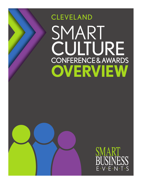# SMART CULTURE CONFERENCE & AWARDS **OVERVIEW** CLEVELAND



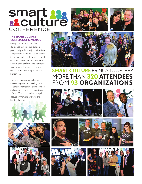





#### **THE SMART CULTURE CONFERENCE & AWARDS**

recognizes organizations that have developed a culture that bolsters productivity, enhances job satisfaction and provides a competitive advantage in the marketplace. This exciting event explores how culture can become an asset to drive performance, transform your organization into an employerof-choice and ultimately impact the bottom line.

This evening conference features an awards program honoring local organizations that have demonstrated cutting-edge practices in sustaining a Smart Culture as well as in-depth discussion from experts who are leading the way.









## **SMART CULTURE** BRINGS TOGETHER MORE THAN **320 ATTENDEES** FROM **93 ORGANIZATIONS**











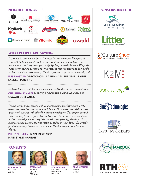### **NOTABLE HONOREES SPONSORS INCLUDE**



#### **WHAT PEOPLE ARE SAYING**

Thank you to everyone at Smart Business for a great event! Everyone at Earnest Machine gained a lot from the event and learned we have a lot more we can do. Also, thank you or highlighting Earnest Machine. We pride ourselves in being a great place to work for so many reasons and being able to share our story was amazing! Thanks again and hope to see you next year!!

**ELISE BASTIAN** DIRECTOR OF CULTURE AND TALENT DEVELOPMENT **EARNEST MACHINE**

Last night was a really fun and engaging event! Kudos to you — so well done! **CHRISTINA SCHMITZ** DIRECTOR OF CULTURE AND ENGAGEMENT **OSWALD COMPANIES**

Thanks to you and everyone with your organization for last night's terrific event. We were honored to be a recipient and to share in the celebration of great work cultures with other like-minded employers. Our employees truly value working for an organization that receives these sorts of recognitions and acknowledgements. They take pride in having family, friends and/or business colleagues mentioning that they had seen Main Street Gourmet's positive coverage in a recent publication. Thank you again for all of your efforts.

**PHILIP PLUMLEY** HR ADMINISTRATOR **MAIN STREET GOURMET**

#### **PANELISTS**



**BEN BRUGLER** PRESIDENT AKHIA



**TERESA HACK** PRESIDENT & COO **CHANNEL PRODUCTS** 



**LISA JACKMAN** DIRECTOR OF EMPLOYEE ENGAGEMENT HYLAND



**BRAD SHERMAN** PARTNER LITTLER







 $K2M^{\frac{2}{3}}$